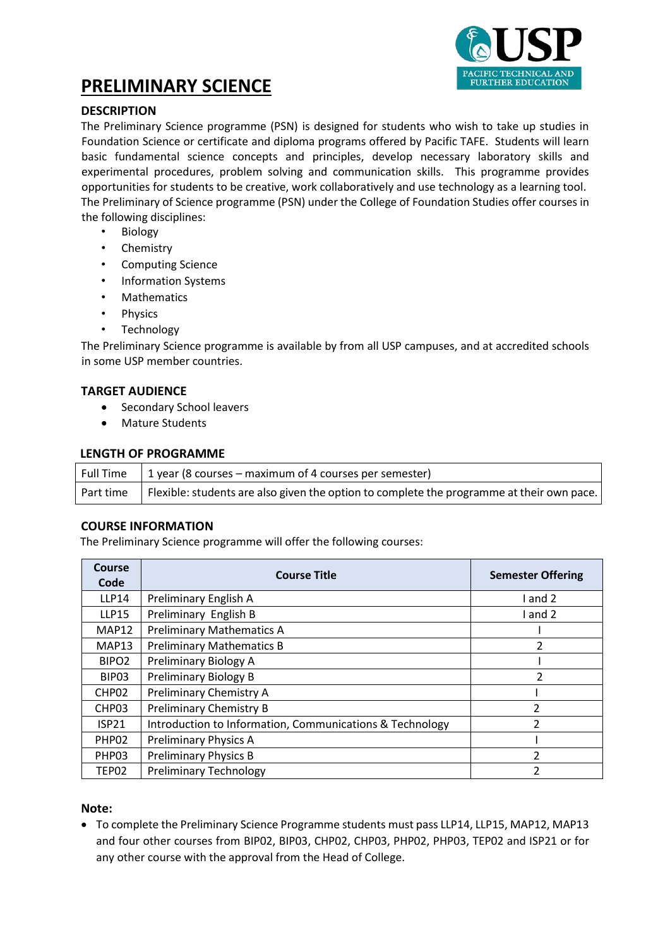

# **PRELIMINARY SCIENCE**

# **DESCRIPTION**

The Preliminary Science programme (PSN) is designed for students who wish to take up studies in Foundation Science or certificate and diploma programs offered by Pacific TAFE. Students will learn basic fundamental science concepts and principles, develop necessary laboratory skills and experimental procedures, problem solving and communication skills. This programme provides opportunities for students to be creative, work collaboratively and use technology as a learning tool. The Preliminary of Science programme (PSN) under the College of Foundation Studies offer courses in the following disciplines:

- **Biology**
- Chemistry
- Computing Science
- Information Systems
- **Mathematics**
- Physics
- Technology

The Preliminary Science programme is available by from all USP campuses, and at accredited schools in some USP member countries.

#### **TARGET AUDIENCE**

- Secondary School leavers
- Mature Students

#### **LENGTH OF PROGRAMME**

| <b>Full Time</b> | 1 year (8 courses – maximum of 4 courses per semester)                                                |
|------------------|-------------------------------------------------------------------------------------------------------|
|                  | Part time   Flexible: students are also given the option to complete the programme at their own pace. |

#### **COURSE INFORMATION**

The Preliminary Science programme will offer the following courses:

| Course<br>Code    | <b>Course Title</b>                                      | <b>Semester Offering</b> |  |
|-------------------|----------------------------------------------------------|--------------------------|--|
| <b>LLP14</b>      | Preliminary English A                                    | l and 2                  |  |
| <b>LLP15</b>      | Preliminary English B                                    | I and 2                  |  |
| MAP12             | <b>Preliminary Mathematics A</b>                         |                          |  |
| MAP13             | <b>Preliminary Mathematics B</b>                         | 2                        |  |
| BIPO <sub>2</sub> | Preliminary Biology A                                    |                          |  |
| BIP <sub>03</sub> | Preliminary Biology B                                    | 2                        |  |
| CHP <sub>02</sub> | Preliminary Chemistry A                                  |                          |  |
| CHP <sub>03</sub> | <b>Preliminary Chemistry B</b>                           | $\mathfrak z$            |  |
| ISP21             | Introduction to Information, Communications & Technology | $\mathfrak{p}$           |  |
| PHP <sub>02</sub> | <b>Preliminary Physics A</b>                             |                          |  |
| PHP03             | <b>Preliminary Physics B</b>                             | $\mathfrak z$            |  |
| TEP02             | <b>Preliminary Technology</b>                            |                          |  |

#### **Note:**

• To complete the Preliminary Science Programme students must pass LLP14, LLP15, MAP12, MAP13 and four other courses from BIP02, BIP03, CHP02, CHP03, PHP02, PHP03, TEP02 and ISP21 or for any other course with the approval from the Head of College.